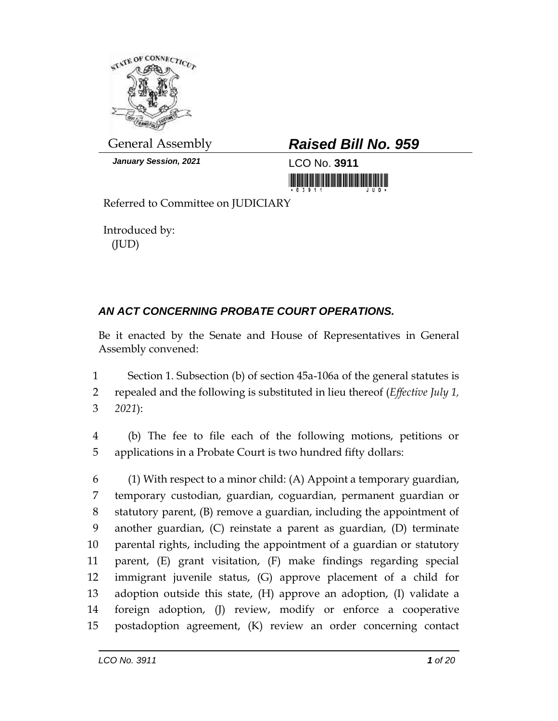

*January Session, 2021* LCO No. **3911**

## General Assembly *Raised Bill No. 959*

Referred to Committee on JUDICIARY

Introduced by: (JUD)

## *AN ACT CONCERNING PROBATE COURT OPERATIONS.*

Be it enacted by the Senate and House of Representatives in General Assembly convened:

 Section 1. Subsection (b) of section 45a-106a of the general statutes is repealed and the following is substituted in lieu thereof (*Effective July 1, 2021*):

 (b) The fee to file each of the following motions, petitions or applications in a Probate Court is two hundred fifty dollars:

 (1) With respect to a minor child: (A) Appoint a temporary guardian, temporary custodian, guardian, coguardian, permanent guardian or statutory parent, (B) remove a guardian, including the appointment of another guardian, (C) reinstate a parent as guardian, (D) terminate parental rights, including the appointment of a guardian or statutory parent, (E) grant visitation, (F) make findings regarding special immigrant juvenile status, (G) approve placement of a child for adoption outside this state, (H) approve an adoption, (I) validate a foreign adoption, (J) review, modify or enforce a cooperative postadoption agreement, (K) review an order concerning contact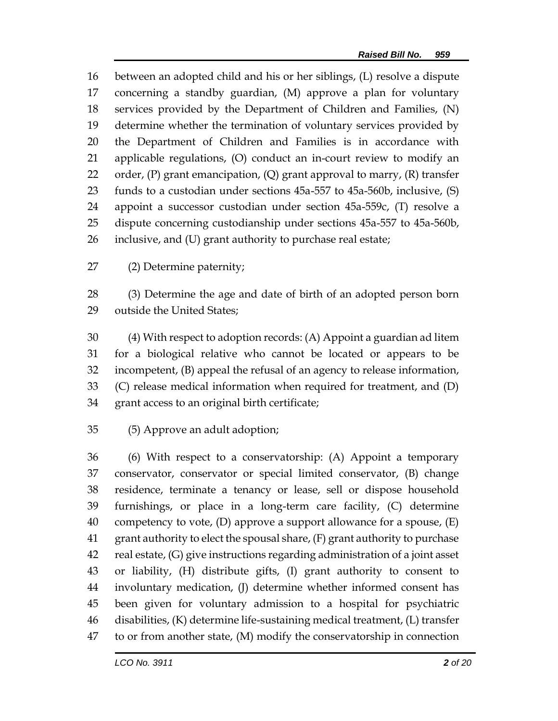between an adopted child and his or her siblings, (L) resolve a dispute concerning a standby guardian, (M) approve a plan for voluntary services provided by the Department of Children and Families, (N) determine whether the termination of voluntary services provided by the Department of Children and Families is in accordance with applicable regulations, (O) conduct an in-court review to modify an 22 order,  $(P)$  grant emancipation,  $(Q)$  grant approval to marry,  $(R)$  transfer funds to a custodian under sections 45a-557 to 45a-560b, inclusive, (S) appoint a successor custodian under section 45a-559c, (T) resolve a dispute concerning custodianship under sections 45a-557 to 45a-560b, inclusive, and (U) grant authority to purchase real estate;

(2) Determine paternity;

 (3) Determine the age and date of birth of an adopted person born outside the United States;

 (4) With respect to adoption records: (A) Appoint a guardian ad litem for a biological relative who cannot be located or appears to be incompetent, (B) appeal the refusal of an agency to release information, (C) release medical information when required for treatment, and (D) grant access to an original birth certificate;

(5) Approve an adult adoption;

 (6) With respect to a conservatorship: (A) Appoint a temporary conservator, conservator or special limited conservator, (B) change residence, terminate a tenancy or lease, sell or dispose household furnishings, or place in a long-term care facility, (C) determine 40 competency to vote,  $(D)$  approve a support allowance for a spouse,  $(E)$  grant authority to elect the spousal share, (F) grant authority to purchase real estate, (G) give instructions regarding administration of a joint asset or liability, (H) distribute gifts, (I) grant authority to consent to involuntary medication, (J) determine whether informed consent has been given for voluntary admission to a hospital for psychiatric disabilities, (K) determine life-sustaining medical treatment, (L) transfer to or from another state, (M) modify the conservatorship in connection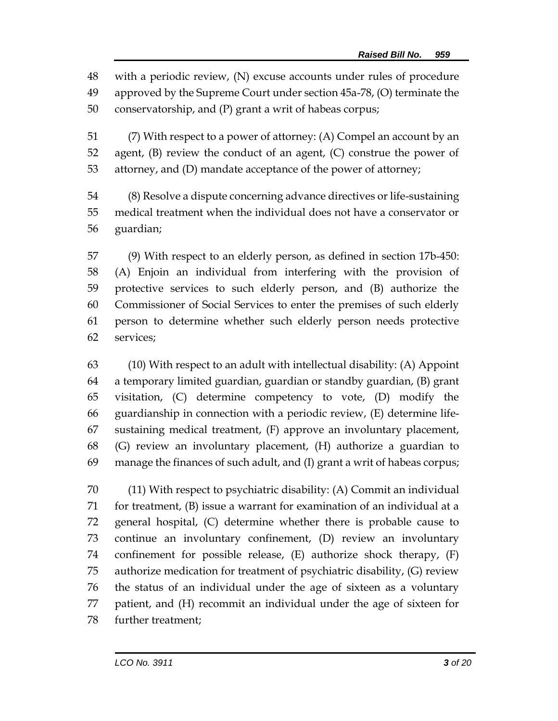with a periodic review, (N) excuse accounts under rules of procedure approved by the Supreme Court under section 45a-78, (O) terminate the conservatorship, and (P) grant a writ of habeas corpus;

 (7) With respect to a power of attorney: (A) Compel an account by an agent, (B) review the conduct of an agent, (C) construe the power of attorney, and (D) mandate acceptance of the power of attorney;

 (8) Resolve a dispute concerning advance directives or life-sustaining medical treatment when the individual does not have a conservator or guardian;

 (9) With respect to an elderly person, as defined in section 17b-450: (A) Enjoin an individual from interfering with the provision of protective services to such elderly person, and (B) authorize the Commissioner of Social Services to enter the premises of such elderly person to determine whether such elderly person needs protective services;

 (10) With respect to an adult with intellectual disability: (A) Appoint a temporary limited guardian, guardian or standby guardian, (B) grant visitation, (C) determine competency to vote, (D) modify the guardianship in connection with a periodic review, (E) determine life- sustaining medical treatment, (F) approve an involuntary placement, (G) review an involuntary placement, (H) authorize a guardian to manage the finances of such adult, and (I) grant a writ of habeas corpus;

 (11) With respect to psychiatric disability: (A) Commit an individual for treatment, (B) issue a warrant for examination of an individual at a general hospital, (C) determine whether there is probable cause to continue an involuntary confinement, (D) review an involuntary confinement for possible release, (E) authorize shock therapy, (F) authorize medication for treatment of psychiatric disability, (G) review the status of an individual under the age of sixteen as a voluntary patient, and (H) recommit an individual under the age of sixteen for further treatment;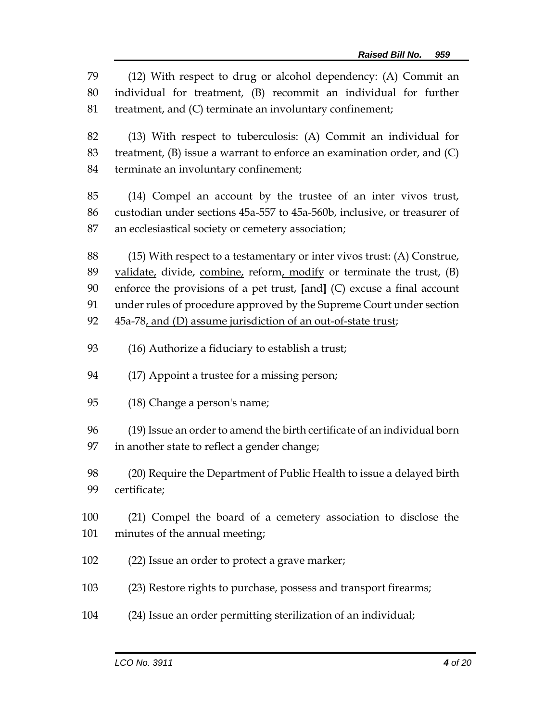(12) With respect to drug or alcohol dependency: (A) Commit an individual for treatment, (B) recommit an individual for further treatment, and (C) terminate an involuntary confinement; (13) With respect to tuberculosis: (A) Commit an individual for treatment, (B) issue a warrant to enforce an examination order, and (C) terminate an involuntary confinement; (14) Compel an account by the trustee of an inter vivos trust, custodian under sections 45a-557 to 45a-560b, inclusive, or treasurer of an ecclesiastical society or cemetery association; (15) With respect to a testamentary or inter vivos trust: (A) Construe, validate, divide, combine, reform, modify or terminate the trust, (B) enforce the provisions of a pet trust, **[**and**]** (C) excuse a final account under rules of procedure approved by the Supreme Court under section 45a-78, and (D) assume jurisdiction of an out-of-state trust; (16) Authorize a fiduciary to establish a trust; (17) Appoint a trustee for a missing person; (18) Change a person's name; (19) Issue an order to amend the birth certificate of an individual born in another state to reflect a gender change; (20) Require the Department of Public Health to issue a delayed birth certificate; (21) Compel the board of a cemetery association to disclose the minutes of the annual meeting; (22) Issue an order to protect a grave marker; (23) Restore rights to purchase, possess and transport firearms; (24) Issue an order permitting sterilization of an individual;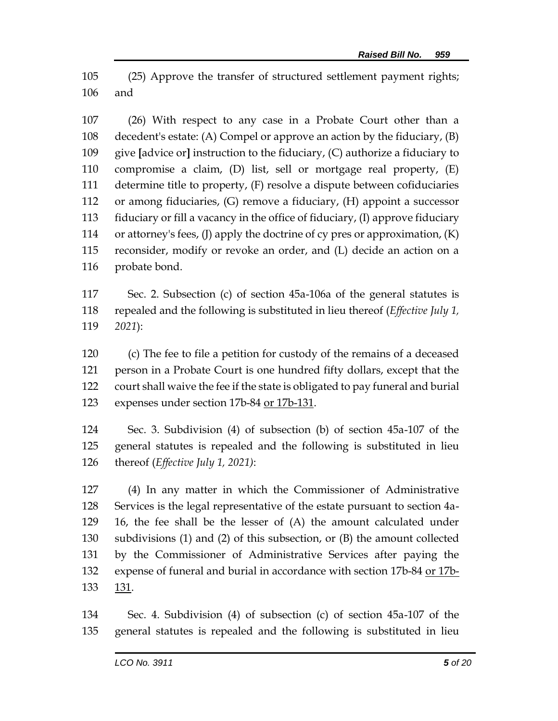(25) Approve the transfer of structured settlement payment rights; and

 (26) With respect to any case in a Probate Court other than a decedent's estate: (A) Compel or approve an action by the fiduciary, (B) give **[**advice or**]** instruction to the fiduciary, (C) authorize a fiduciary to compromise a claim, (D) list, sell or mortgage real property, (E) determine title to property, (F) resolve a dispute between cofiduciaries or among fiduciaries, (G) remove a fiduciary, (H) appoint a successor fiduciary or fill a vacancy in the office of fiduciary, (I) approve fiduciary or attorney's fees, (J) apply the doctrine of cy pres or approximation, (K) reconsider, modify or revoke an order, and (L) decide an action on a probate bond.

 Sec. 2. Subsection (c) of section 45a-106a of the general statutes is repealed and the following is substituted in lieu thereof (*Effective July 1, 2021*):

 (c) The fee to file a petition for custody of the remains of a deceased person in a Probate Court is one hundred fifty dollars, except that the court shall waive the fee if the state is obligated to pay funeral and burial expenses under section 17b-84 or 17b-131.

 Sec. 3. Subdivision (4) of subsection (b) of section 45a-107 of the general statutes is repealed and the following is substituted in lieu thereof (*Effective July 1, 2021)*:

 (4) In any matter in which the Commissioner of Administrative Services is the legal representative of the estate pursuant to section 4a- 16, the fee shall be the lesser of (A) the amount calculated under subdivisions (1) and (2) of this subsection, or (B) the amount collected by the Commissioner of Administrative Services after paying the expense of funeral and burial in accordance with section 17b-84 or 17b-133 131.

 Sec. 4. Subdivision (4) of subsection (c) of section 45a-107 of the general statutes is repealed and the following is substituted in lieu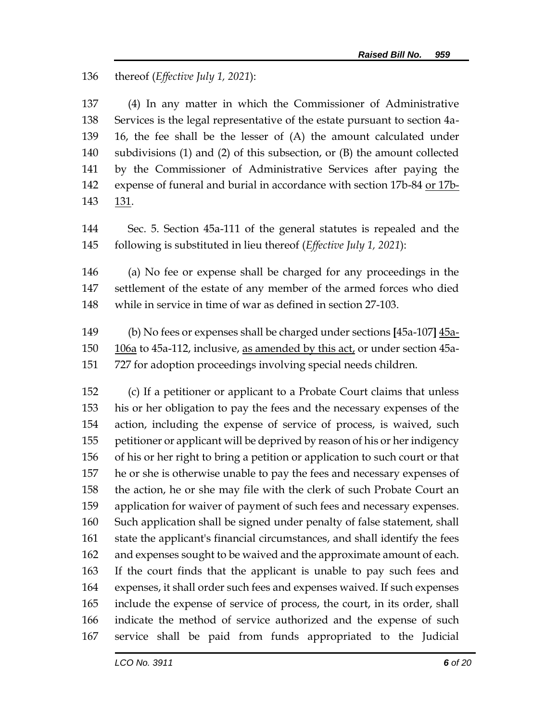## thereof (*Effective July 1, 2021*):

 (4) In any matter in which the Commissioner of Administrative Services is the legal representative of the estate pursuant to section 4a- 16, the fee shall be the lesser of (A) the amount calculated under subdivisions (1) and (2) of this subsection, or (B) the amount collected by the Commissioner of Administrative Services after paying the 142 expense of funeral and burial in accordance with section 17b-84 or 17b-131.

 Sec. 5. Section 45a-111 of the general statutes is repealed and the following is substituted in lieu thereof (*Effective July 1, 2021*):

 (a) No fee or expense shall be charged for any proceedings in the settlement of the estate of any member of the armed forces who died while in service in time of war as defined in section 27-103.

 (b) No fees or expenses shall be charged under sections **[**45a-107**]** 45a- $106a$  to 45a-112, inclusive, as amended by this act, or under section 45a-727 for adoption proceedings involving special needs children.

 (c) If a petitioner or applicant to a Probate Court claims that unless his or her obligation to pay the fees and the necessary expenses of the action, including the expense of service of process, is waived, such petitioner or applicant will be deprived by reason of his or her indigency of his or her right to bring a petition or application to such court or that he or she is otherwise unable to pay the fees and necessary expenses of the action, he or she may file with the clerk of such Probate Court an application for waiver of payment of such fees and necessary expenses. Such application shall be signed under penalty of false statement, shall state the applicant's financial circumstances, and shall identify the fees and expenses sought to be waived and the approximate amount of each. If the court finds that the applicant is unable to pay such fees and expenses, it shall order such fees and expenses waived. If such expenses include the expense of service of process, the court, in its order, shall indicate the method of service authorized and the expense of such service shall be paid from funds appropriated to the Judicial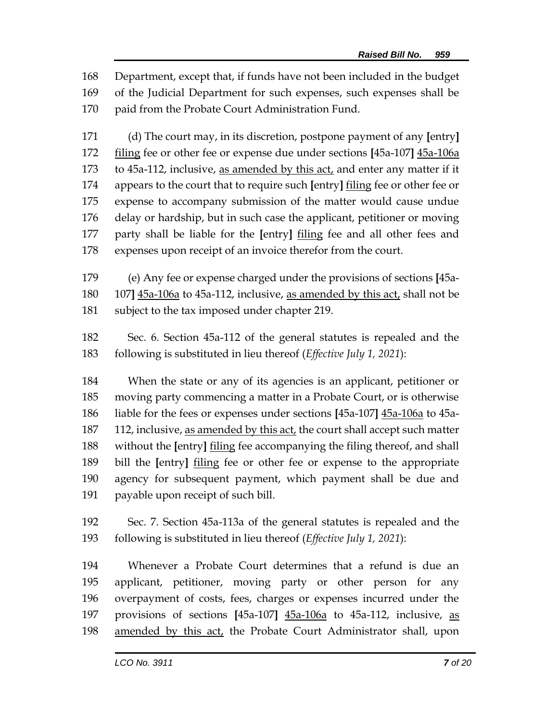Department, except that, if funds have not been included in the budget of the Judicial Department for such expenses, such expenses shall be paid from the Probate Court Administration Fund.

 (d) The court may, in its discretion, postpone payment of any **[**entry**]** filing fee or other fee or expense due under sections **[**45a-107**]** 45a-106a to 45a-112, inclusive, as amended by this act, and enter any matter if it appears to the court that to require such **[**entry**]** filing fee or other fee or expense to accompany submission of the matter would cause undue delay or hardship, but in such case the applicant, petitioner or moving party shall be liable for the **[**entry**]** filing fee and all other fees and expenses upon receipt of an invoice therefor from the court.

 (e) Any fee or expense charged under the provisions of sections **[**45a- 107**]** 45a-106a to 45a-112, inclusive, as amended by this act, shall not be subject to the tax imposed under chapter 219.

 Sec. 6. Section 45a-112 of the general statutes is repealed and the following is substituted in lieu thereof (*Effective July 1, 2021*):

 When the state or any of its agencies is an applicant, petitioner or moving party commencing a matter in a Probate Court, or is otherwise liable for the fees or expenses under sections **[**45a-107**]** 45a-106a to 45a- 112, inclusive, as amended by this act, the court shall accept such matter without the **[**entry**]** filing fee accompanying the filing thereof, and shall bill the **[**entry**]** filing fee or other fee or expense to the appropriate agency for subsequent payment, which payment shall be due and payable upon receipt of such bill.

 Sec. 7. Section 45a-113a of the general statutes is repealed and the following is substituted in lieu thereof (*Effective July 1, 2021*):

 Whenever a Probate Court determines that a refund is due an applicant, petitioner, moving party or other person for any overpayment of costs, fees, charges or expenses incurred under the provisions of sections **[**45a-107**]** 45a-106a to 45a-112, inclusive, as amended by this act, the Probate Court Administrator shall, upon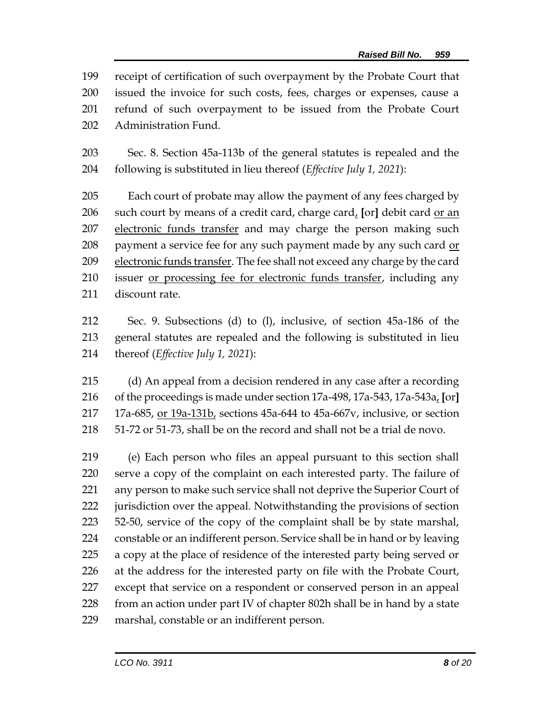receipt of certification of such overpayment by the Probate Court that issued the invoice for such costs, fees, charges or expenses, cause a refund of such overpayment to be issued from the Probate Court Administration Fund.

 Sec. 8. Section 45a-113b of the general statutes is repealed and the following is substituted in lieu thereof (*Effective July 1, 2021*):

 Each court of probate may allow the payment of any fees charged by such court by means of a credit card, charge card, **[**or**]** debit card or an 207 electronic funds transfer and may charge the person making such payment a service fee for any such payment made by any such card or electronic funds transfer. The fee shall not exceed any charge by the card issuer or processing fee for electronic funds transfer, including any discount rate.

 Sec. 9. Subsections (d) to (l), inclusive, of section 45a-186 of the general statutes are repealed and the following is substituted in lieu thereof (*Effective July 1, 2021*):

 (d) An appeal from a decision rendered in any case after a recording of the proceedings is made under section 17a-498, 17a-543, 17a-543a, **[**or**]** 17a-685, or 19a-131b, sections 45a-644 to 45a-667v, inclusive, or section 51-72 or 51-73, shall be on the record and shall not be a trial de novo.

 (e) Each person who files an appeal pursuant to this section shall serve a copy of the complaint on each interested party. The failure of any person to make such service shall not deprive the Superior Court of jurisdiction over the appeal. Notwithstanding the provisions of section 52-50, service of the copy of the complaint shall be by state marshal, constable or an indifferent person. Service shall be in hand or by leaving a copy at the place of residence of the interested party being served or at the address for the interested party on file with the Probate Court, except that service on a respondent or conserved person in an appeal 228 from an action under part IV of chapter 802h shall be in hand by a state marshal, constable or an indifferent person.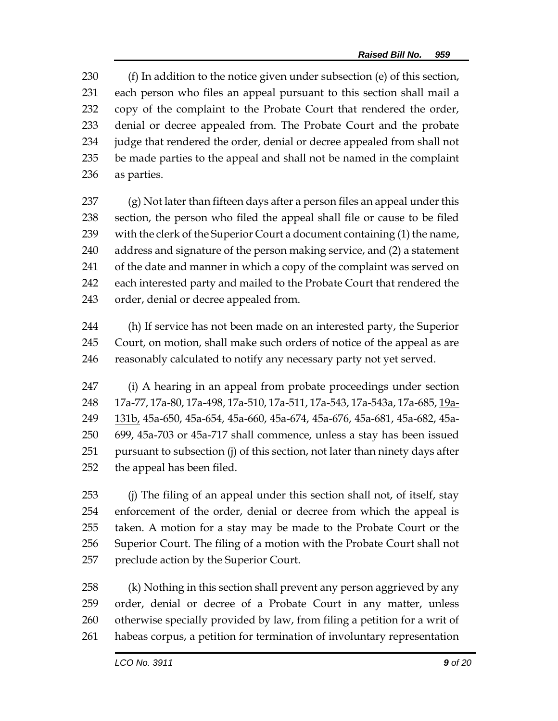(f) In addition to the notice given under subsection (e) of this section, each person who files an appeal pursuant to this section shall mail a copy of the complaint to the Probate Court that rendered the order, denial or decree appealed from. The Probate Court and the probate judge that rendered the order, denial or decree appealed from shall not be made parties to the appeal and shall not be named in the complaint as parties.

 (g) Not later than fifteen days after a person files an appeal under this section, the person who filed the appeal shall file or cause to be filed 239 with the clerk of the Superior Court a document containing (1) the name, address and signature of the person making service, and (2) a statement 241 of the date and manner in which a copy of the complaint was served on each interested party and mailed to the Probate Court that rendered the order, denial or decree appealed from.

 (h) If service has not been made on an interested party, the Superior Court, on motion, shall make such orders of notice of the appeal as are 246 reasonably calculated to notify any necessary party not yet served.

 (i) A hearing in an appeal from probate proceedings under section 17a-77, 17a-80, 17a-498, 17a-510, 17a-511, 17a-543, 17a-543a, 17a-685, 19a- 131b, 45a-650, 45a-654, 45a-660, 45a-674, 45a-676, 45a-681, 45a-682, 45a- 699, 45a-703 or 45a-717 shall commence, unless a stay has been issued pursuant to subsection (j) of this section, not later than ninety days after the appeal has been filed.

 (j) The filing of an appeal under this section shall not, of itself, stay enforcement of the order, denial or decree from which the appeal is taken. A motion for a stay may be made to the Probate Court or the Superior Court. The filing of a motion with the Probate Court shall not preclude action by the Superior Court.

 (k) Nothing in this section shall prevent any person aggrieved by any order, denial or decree of a Probate Court in any matter, unless otherwise specially provided by law, from filing a petition for a writ of habeas corpus, a petition for termination of involuntary representation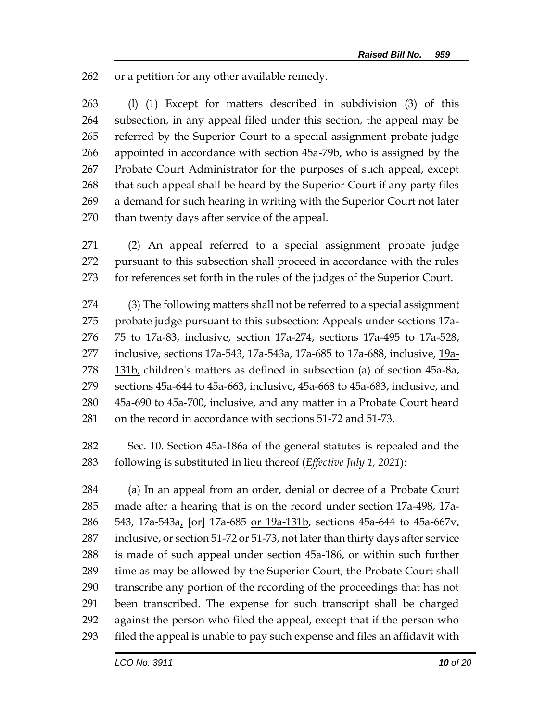or a petition for any other available remedy.

 (l) (1) Except for matters described in subdivision (3) of this subsection, in any appeal filed under this section, the appeal may be referred by the Superior Court to a special assignment probate judge appointed in accordance with section 45a-79b, who is assigned by the Probate Court Administrator for the purposes of such appeal, except that such appeal shall be heard by the Superior Court if any party files a demand for such hearing in writing with the Superior Court not later than twenty days after service of the appeal.

 (2) An appeal referred to a special assignment probate judge pursuant to this subsection shall proceed in accordance with the rules for references set forth in the rules of the judges of the Superior Court.

 (3) The following matters shall not be referred to a special assignment probate judge pursuant to this subsection: Appeals under sections 17a- 75 to 17a-83, inclusive, section 17a-274, sections 17a-495 to 17a-528, inclusive, sections 17a-543, 17a-543a, 17a-685 to 17a-688, inclusive, 19a-278 131b, children's matters as defined in subsection (a) of section 45a-8a, sections 45a-644 to 45a-663, inclusive, 45a-668 to 45a-683, inclusive, and 45a-690 to 45a-700, inclusive, and any matter in a Probate Court heard on the record in accordance with sections 51-72 and 51-73.

 Sec. 10. Section 45a-186a of the general statutes is repealed and the following is substituted in lieu thereof (*Effective July 1, 2021*):

 (a) In an appeal from an order, denial or decree of a Probate Court made after a hearing that is on the record under section 17a-498, 17a- 543, 17a-543a, **[**or**]** 17a-685 or 19a-131b, sections 45a-644 to 45a-667v, inclusive, or section 51-72 or 51-73, not later than thirty days after service is made of such appeal under section 45a-186, or within such further time as may be allowed by the Superior Court, the Probate Court shall transcribe any portion of the recording of the proceedings that has not been transcribed. The expense for such transcript shall be charged against the person who filed the appeal, except that if the person who filed the appeal is unable to pay such expense and files an affidavit with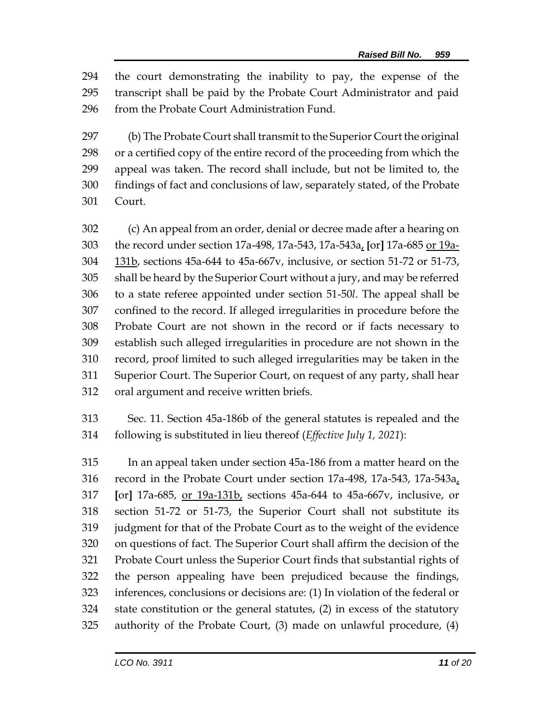the court demonstrating the inability to pay, the expense of the transcript shall be paid by the Probate Court Administrator and paid from the Probate Court Administration Fund.

 (b) The Probate Court shall transmit to the Superior Court the original or a certified copy of the entire record of the proceeding from which the appeal was taken. The record shall include, but not be limited to, the findings of fact and conclusions of law, separately stated, of the Probate Court.

 (c) An appeal from an order, denial or decree made after a hearing on the record under section 17a-498, 17a-543, 17a-543a, **[**or**]** 17a-685 or 19a- 131b, sections 45a-644 to 45a-667v, inclusive, or section 51-72 or 51-73, shall be heard by the Superior Court without a jury, and may be referred to a state referee appointed under section 51-50*l*. The appeal shall be confined to the record. If alleged irregularities in procedure before the Probate Court are not shown in the record or if facts necessary to establish such alleged irregularities in procedure are not shown in the record, proof limited to such alleged irregularities may be taken in the Superior Court. The Superior Court, on request of any party, shall hear oral argument and receive written briefs.

 Sec. 11. Section 45a-186b of the general statutes is repealed and the following is substituted in lieu thereof (*Effective July 1, 2021*):

 In an appeal taken under section 45a-186 from a matter heard on the record in the Probate Court under section 17a-498, 17a-543, 17a-543a, **[**or**]** 17a-685, or 19a-131b, sections 45a-644 to 45a-667v, inclusive, or section 51-72 or 51-73, the Superior Court shall not substitute its judgment for that of the Probate Court as to the weight of the evidence on questions of fact. The Superior Court shall affirm the decision of the Probate Court unless the Superior Court finds that substantial rights of the person appealing have been prejudiced because the findings, inferences, conclusions or decisions are: (1) In violation of the federal or state constitution or the general statutes, (2) in excess of the statutory authority of the Probate Court, (3) made on unlawful procedure, (4)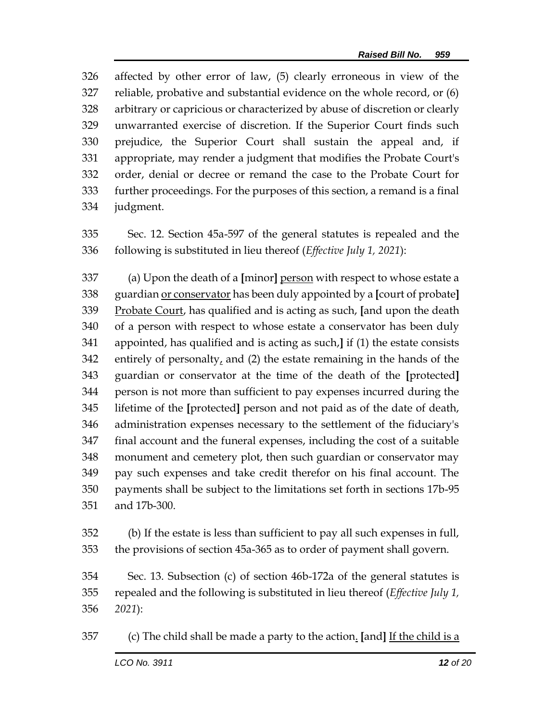affected by other error of law, (5) clearly erroneous in view of the reliable, probative and substantial evidence on the whole record, or (6) arbitrary or capricious or characterized by abuse of discretion or clearly unwarranted exercise of discretion. If the Superior Court finds such prejudice, the Superior Court shall sustain the appeal and, if appropriate, may render a judgment that modifies the Probate Court's order, denial or decree or remand the case to the Probate Court for further proceedings. For the purposes of this section, a remand is a final judgment.

 Sec. 12. Section 45a-597 of the general statutes is repealed and the following is substituted in lieu thereof (*Effective July 1, 2021*):

 (a) Upon the death of a **[**minor**]** person with respect to whose estate a guardian or conservator has been duly appointed by a **[**court of probate**]** Probate Court, has qualified and is acting as such, **[**and upon the death of a person with respect to whose estate a conservator has been duly appointed, has qualified and is acting as such,**]** if (1) the estate consists 342 entirely of personalty, and (2) the estate remaining in the hands of the guardian or conservator at the time of the death of the **[**protected**]** person is not more than sufficient to pay expenses incurred during the lifetime of the **[**protected**]** person and not paid as of the date of death, administration expenses necessary to the settlement of the fiduciary's final account and the funeral expenses, including the cost of a suitable monument and cemetery plot, then such guardian or conservator may pay such expenses and take credit therefor on his final account. The payments shall be subject to the limitations set forth in sections 17b-95 and 17b-300.

 (b) If the estate is less than sufficient to pay all such expenses in full, the provisions of section 45a-365 as to order of payment shall govern.

 Sec. 13. Subsection (c) of section 46b-172a of the general statutes is repealed and the following is substituted in lieu thereof (*Effective July 1, 2021*):

(c) The child shall be made a party to the action. **[**and**]** If the child is a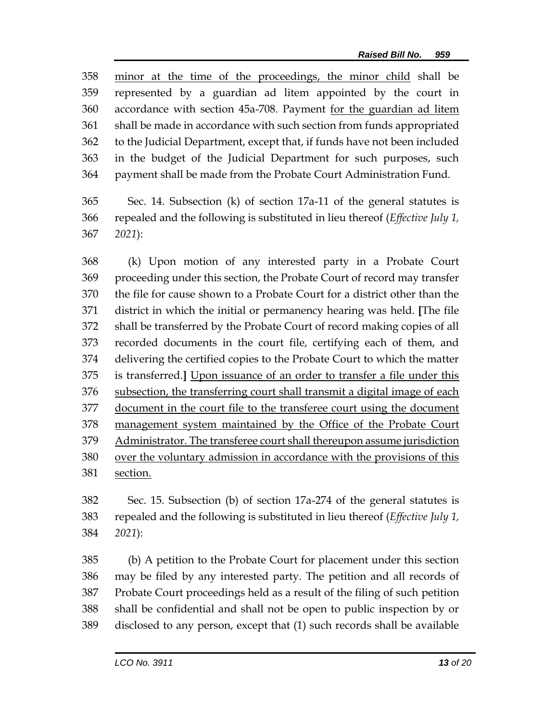minor at the time of the proceedings, the minor child shall be represented by a guardian ad litem appointed by the court in accordance with section 45a-708. Payment for the guardian ad litem shall be made in accordance with such section from funds appropriated to the Judicial Department, except that, if funds have not been included in the budget of the Judicial Department for such purposes, such payment shall be made from the Probate Court Administration Fund.

 Sec. 14. Subsection (k) of section 17a-11 of the general statutes is repealed and the following is substituted in lieu thereof (*Effective July 1, 2021*):

 (k) Upon motion of any interested party in a Probate Court proceeding under this section, the Probate Court of record may transfer the file for cause shown to a Probate Court for a district other than the district in which the initial or permanency hearing was held. **[**The file shall be transferred by the Probate Court of record making copies of all recorded documents in the court file, certifying each of them, and delivering the certified copies to the Probate Court to which the matter is transferred.**]** Upon issuance of an order to transfer a file under this subsection, the transferring court shall transmit a digital image of each document in the court file to the transferee court using the document management system maintained by the Office of the Probate Court Administrator. The transferee court shall thereupon assume jurisdiction over the voluntary admission in accordance with the provisions of this section.

 Sec. 15. Subsection (b) of section 17a-274 of the general statutes is repealed and the following is substituted in lieu thereof (*Effective July 1, 2021*):

 (b) A petition to the Probate Court for placement under this section may be filed by any interested party. The petition and all records of Probate Court proceedings held as a result of the filing of such petition shall be confidential and shall not be open to public inspection by or disclosed to any person, except that (1) such records shall be available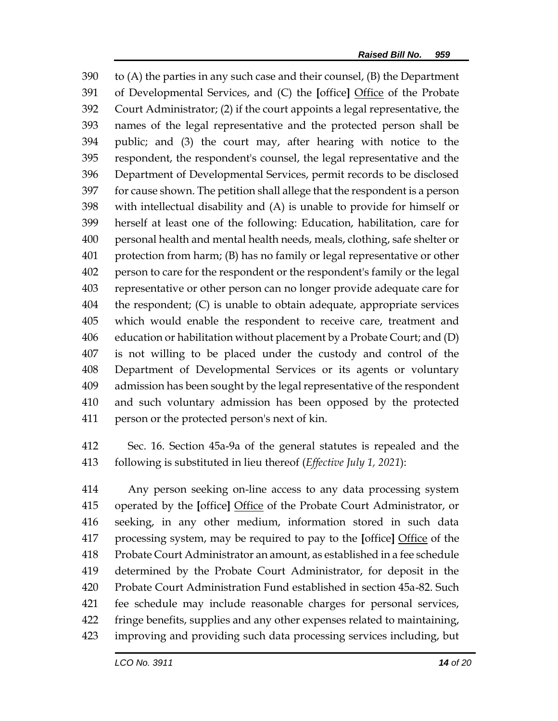to (A) the parties in any such case and their counsel, (B) the Department of Developmental Services, and (C) the **[**office**]** Office of the Probate Court Administrator; (2) if the court appoints a legal representative, the names of the legal representative and the protected person shall be public; and (3) the court may, after hearing with notice to the respondent, the respondent's counsel, the legal representative and the Department of Developmental Services, permit records to be disclosed for cause shown. The petition shall allege that the respondent is a person with intellectual disability and (A) is unable to provide for himself or herself at least one of the following: Education, habilitation, care for personal health and mental health needs, meals, clothing, safe shelter or protection from harm; (B) has no family or legal representative or other person to care for the respondent or the respondent's family or the legal representative or other person can no longer provide adequate care for the respondent; (C) is unable to obtain adequate, appropriate services which would enable the respondent to receive care, treatment and education or habilitation without placement by a Probate Court; and (D) is not willing to be placed under the custody and control of the Department of Developmental Services or its agents or voluntary admission has been sought by the legal representative of the respondent and such voluntary admission has been opposed by the protected person or the protected person's next of kin.

 Sec. 16. Section 45a-9a of the general statutes is repealed and the following is substituted in lieu thereof (*Effective July 1, 2021*):

 Any person seeking on-line access to any data processing system operated by the **[**office**]** Office of the Probate Court Administrator, or seeking, in any other medium, information stored in such data processing system, may be required to pay to the **[**office**]** Office of the Probate Court Administrator an amount, as established in a fee schedule determined by the Probate Court Administrator, for deposit in the Probate Court Administration Fund established in section 45a-82. Such fee schedule may include reasonable charges for personal services, fringe benefits, supplies and any other expenses related to maintaining, improving and providing such data processing services including, but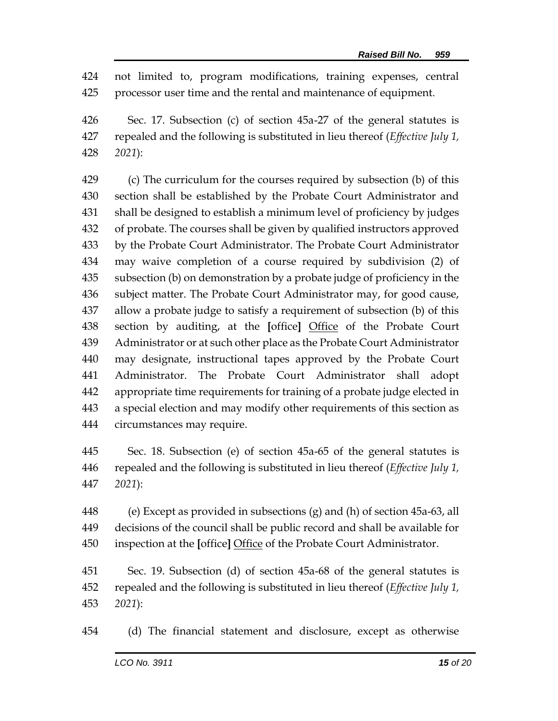not limited to, program modifications, training expenses, central processor user time and the rental and maintenance of equipment.

 Sec. 17. Subsection (c) of section 45a-27 of the general statutes is repealed and the following is substituted in lieu thereof (*Effective July 1, 2021*):

 (c) The curriculum for the courses required by subsection (b) of this section shall be established by the Probate Court Administrator and shall be designed to establish a minimum level of proficiency by judges of probate. The courses shall be given by qualified instructors approved by the Probate Court Administrator. The Probate Court Administrator may waive completion of a course required by subdivision (2) of subsection (b) on demonstration by a probate judge of proficiency in the subject matter. The Probate Court Administrator may, for good cause, allow a probate judge to satisfy a requirement of subsection (b) of this section by auditing, at the **[**office**]** Office of the Probate Court Administrator or at such other place as the Probate Court Administrator may designate, instructional tapes approved by the Probate Court Administrator. The Probate Court Administrator shall adopt appropriate time requirements for training of a probate judge elected in a special election and may modify other requirements of this section as circumstances may require.

 Sec. 18. Subsection (e) of section 45a-65 of the general statutes is repealed and the following is substituted in lieu thereof (*Effective July 1, 2021*):

 (e) Except as provided in subsections (g) and (h) of section 45a-63, all decisions of the council shall be public record and shall be available for inspection at the **[**office**]** Office of the Probate Court Administrator.

 Sec. 19. Subsection (d) of section 45a-68 of the general statutes is repealed and the following is substituted in lieu thereof (*Effective July 1, 2021*):

(d) The financial statement and disclosure, except as otherwise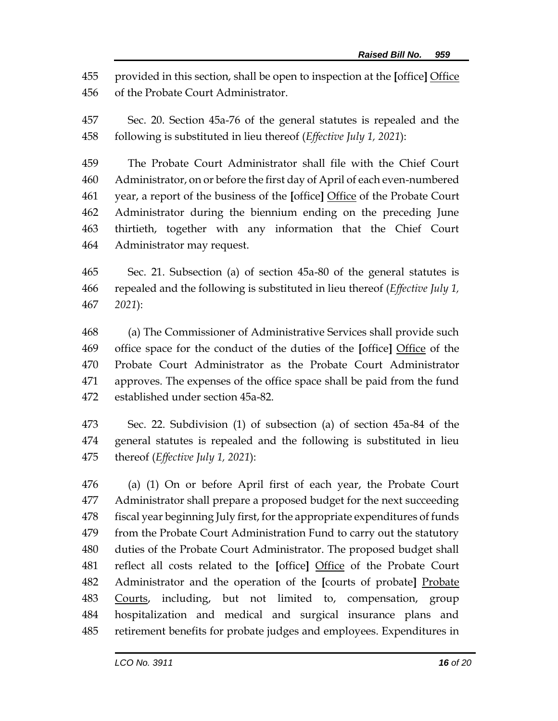provided in this section, shall be open to inspection at the **[**office**]** Office of the Probate Court Administrator.

 Sec. 20. Section 45a-76 of the general statutes is repealed and the following is substituted in lieu thereof (*Effective July 1, 2021*):

 The Probate Court Administrator shall file with the Chief Court Administrator, on or before the first day of April of each even-numbered year, a report of the business of the **[**office**]** Office of the Probate Court Administrator during the biennium ending on the preceding June thirtieth, together with any information that the Chief Court Administrator may request.

 Sec. 21. Subsection (a) of section 45a-80 of the general statutes is repealed and the following is substituted in lieu thereof (*Effective July 1, 2021*):

 (a) The Commissioner of Administrative Services shall provide such office space for the conduct of the duties of the **[**office**]** Office of the Probate Court Administrator as the Probate Court Administrator approves. The expenses of the office space shall be paid from the fund established under section 45a-82.

 Sec. 22. Subdivision (1) of subsection (a) of section 45a-84 of the general statutes is repealed and the following is substituted in lieu thereof (*Effective July 1, 2021*):

 (a) (1) On or before April first of each year, the Probate Court Administrator shall prepare a proposed budget for the next succeeding fiscal year beginning July first, for the appropriate expenditures of funds from the Probate Court Administration Fund to carry out the statutory duties of the Probate Court Administrator. The proposed budget shall reflect all costs related to the **[**office**]** Office of the Probate Court Administrator and the operation of the **[**courts of probate**]** Probate Courts, including, but not limited to, compensation, group hospitalization and medical and surgical insurance plans and retirement benefits for probate judges and employees. Expenditures in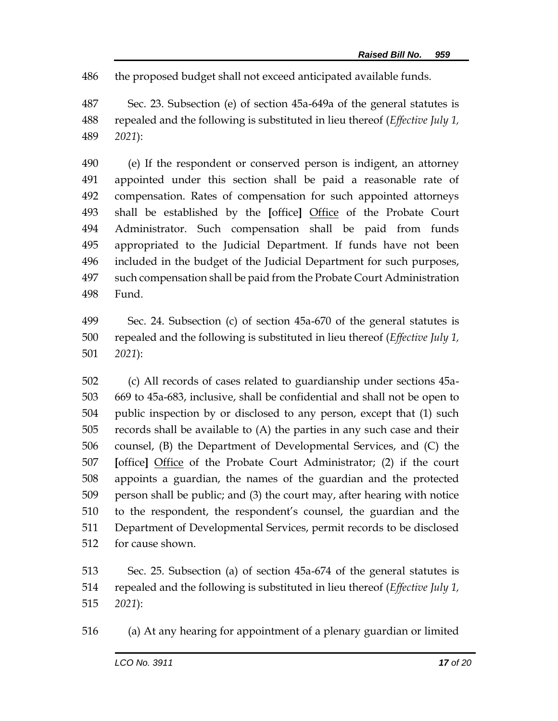the proposed budget shall not exceed anticipated available funds.

 Sec. 23. Subsection (e) of section 45a-649a of the general statutes is repealed and the following is substituted in lieu thereof (*Effective July 1, 2021*):

 (e) If the respondent or conserved person is indigent, an attorney appointed under this section shall be paid a reasonable rate of compensation. Rates of compensation for such appointed attorneys shall be established by the **[**office**]** Office of the Probate Court Administrator. Such compensation shall be paid from funds appropriated to the Judicial Department. If funds have not been included in the budget of the Judicial Department for such purposes, such compensation shall be paid from the Probate Court Administration Fund.

 Sec. 24. Subsection (c) of section 45a-670 of the general statutes is repealed and the following is substituted in lieu thereof (*Effective July 1, 2021*):

 (c) All records of cases related to guardianship under sections 45a- 669 to 45a-683, inclusive, shall be confidential and shall not be open to public inspection by or disclosed to any person, except that (1) such records shall be available to (A) the parties in any such case and their counsel, (B) the Department of Developmental Services, and (C) the **[**office**]** Office of the Probate Court Administrator; (2) if the court appoints a guardian, the names of the guardian and the protected person shall be public; and (3) the court may, after hearing with notice to the respondent, the respondent's counsel, the guardian and the Department of Developmental Services, permit records to be disclosed for cause shown.

 Sec. 25. Subsection (a) of section 45a-674 of the general statutes is repealed and the following is substituted in lieu thereof (*Effective July 1, 2021*):

(a) At any hearing for appointment of a plenary guardian or limited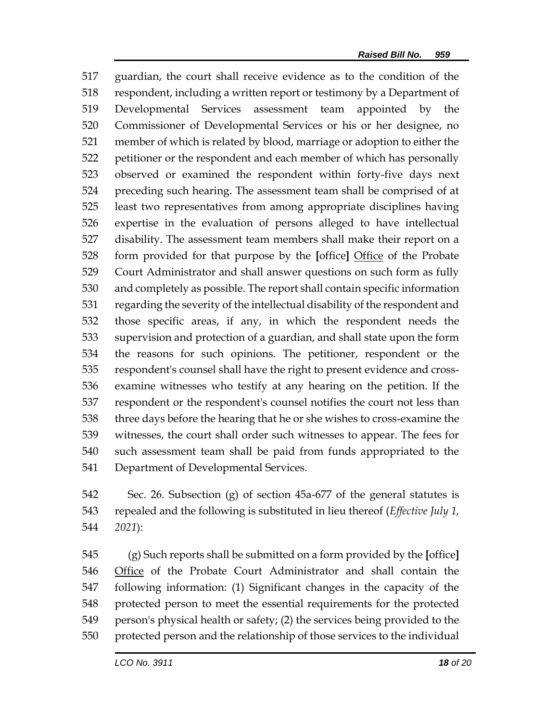guardian, the court shall receive evidence as to the condition of the respondent, including a written report or testimony by a Department of Developmental Services assessment team appointed by the Commissioner of Developmental Services or his or her designee, no member of which is related by blood, marriage or adoption to either the petitioner or the respondent and each member of which has personally observed or examined the respondent within forty-five days next preceding such hearing. The assessment team shall be comprised of at least two representatives from among appropriate disciplines having expertise in the evaluation of persons alleged to have intellectual disability. The assessment team members shall make their report on a form provided for that purpose by the **[**office**]** Office of the Probate Court Administrator and shall answer questions on such form as fully and completely as possible. The report shall contain specific information regarding the severity of the intellectual disability of the respondent and those specific areas, if any, in which the respondent needs the supervision and protection of a guardian, and shall state upon the form the reasons for such opinions. The petitioner, respondent or the respondent's counsel shall have the right to present evidence and cross- examine witnesses who testify at any hearing on the petition. If the respondent or the respondent's counsel notifies the court not less than three days before the hearing that he or she wishes to cross-examine the witnesses, the court shall order such witnesses to appear. The fees for such assessment team shall be paid from funds appropriated to the Department of Developmental Services.

 Sec. 26. Subsection (g) of section 45a-677 of the general statutes is repealed and the following is substituted in lieu thereof (*Effective July 1, 2021*):

 (g) Such reports shall be submitted on a form provided by the **[**office**]** Office of the Probate Court Administrator and shall contain the following information: (1) Significant changes in the capacity of the protected person to meet the essential requirements for the protected person's physical health or safety; (2) the services being provided to the protected person and the relationship of those services to the individual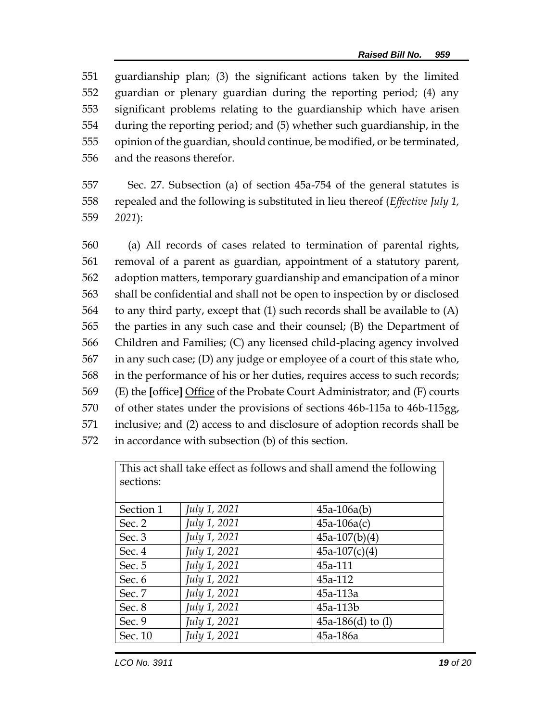guardianship plan; (3) the significant actions taken by the limited guardian or plenary guardian during the reporting period; (4) any significant problems relating to the guardianship which have arisen during the reporting period; and (5) whether such guardianship, in the opinion of the guardian, should continue, be modified, or be terminated, and the reasons therefor.

 Sec. 27. Subsection (a) of section 45a-754 of the general statutes is repealed and the following is substituted in lieu thereof (*Effective July 1, 2021*):

 (a) All records of cases related to termination of parental rights, removal of a parent as guardian, appointment of a statutory parent, adoption matters, temporary guardianship and emancipation of a minor shall be confidential and shall not be open to inspection by or disclosed to any third party, except that (1) such records shall be available to (A) the parties in any such case and their counsel; (B) the Department of Children and Families; (C) any licensed child-placing agency involved in any such case; (D) any judge or employee of a court of this state who, in the performance of his or her duties, requires access to such records; (E) the **[**office**]** Office of the Probate Court Administrator; and (F) courts of other states under the provisions of sections 46b-115a to 46b-115gg, inclusive; and (2) access to and disclosure of adoption records shall be in accordance with subsection (b) of this section.

This act shall take effect as follows and shall amend the following sections:

| Section 1 | July 1, 2021 | $45a-106a(b)$          |
|-----------|--------------|------------------------|
| Sec. 2    | July 1, 2021 | $45a-106a(c)$          |
| Sec. 3    | July 1, 2021 | $45a-107(b)(4)$        |
| Sec. 4    | July 1, 2021 | $45a-107(c)(4)$        |
| Sec. 5    | July 1, 2021 | 45a-111                |
| Sec. 6    | July 1, 2021 | 45a-112                |
| Sec. 7    | July 1, 2021 | 45a-113a               |
| Sec. 8    | July 1, 2021 | 45a-113b               |
| Sec. 9    | July 1, 2021 | 45a-186 $(d)$ to $(l)$ |
| Sec. 10   | July 1, 2021 | 45a-186a               |